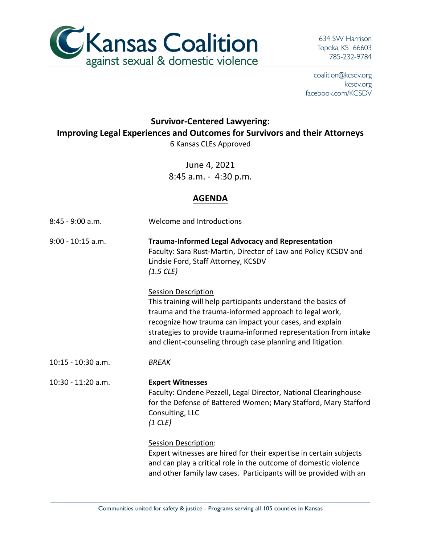

634 SW Harrison Topeka, KS 66603 785-232-9784

coalition@kcsdv.org kcsdv.org facebook.com/KCSDV

## **Survivor-Centered Lawyering: Improving Legal Experiences and Outcomes for Survivors and their Attorneys** 6 Kansas CLEs Approved

June 4, 2021 8:45 a.m. - 4:30 p.m.

## **AGENDA**

| $8:45 - 9:00$ a.m.   | Welcome and Introductions                                                                                                                                                                                                                                                                                                                           |
|----------------------|-----------------------------------------------------------------------------------------------------------------------------------------------------------------------------------------------------------------------------------------------------------------------------------------------------------------------------------------------------|
| $9:00 - 10:15$ a.m.  | <b>Trauma-Informed Legal Advocacy and Representation</b><br>Faculty: Sara Rust-Martin, Director of Law and Policy KCSDV and<br>Lindsie Ford, Staff Attorney, KCSDV<br>$(1.5$ CLE)                                                                                                                                                                   |
|                      | <b>Session Description</b><br>This training will help participants understand the basics of<br>trauma and the trauma-informed approach to legal work,<br>recognize how trauma can impact your cases, and explain<br>strategies to provide trauma-informed representation from intake<br>and client-counseling through case planning and litigation. |
| $10:15 - 10:30$ a.m. | <b>BREAK</b>                                                                                                                                                                                                                                                                                                                                        |
| 10:30 - 11:20 a.m.   | <b>Expert Witnesses</b><br>Faculty: Cindene Pezzell, Legal Director, National Clearinghouse<br>for the Defense of Battered Women; Mary Stafford, Mary Stafford<br>Consulting, LLC<br>$(1$ CLE)                                                                                                                                                      |
|                      | <b>Session Description:</b><br>Expert witnesses are hired for their expertise in certain subjects<br>and can play a critical role in the outcome of domestic violence<br>and other family law cases. Participants will be provided with an                                                                                                          |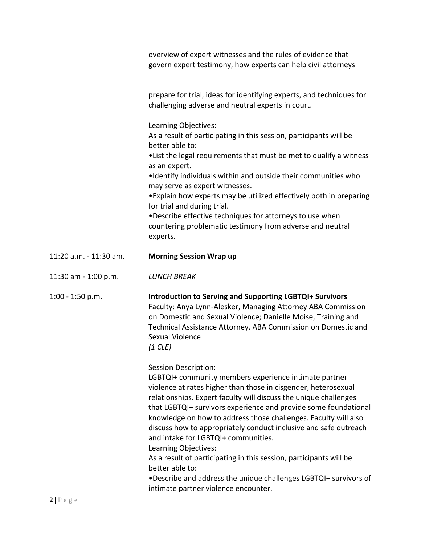|                        | overview of expert witnesses and the rules of evidence that<br>govern expert testimony, how experts can help civil attorneys                                                                                                                                                                                                                                                                                                                                                                                                                                                                                                                                                                              |
|------------------------|-----------------------------------------------------------------------------------------------------------------------------------------------------------------------------------------------------------------------------------------------------------------------------------------------------------------------------------------------------------------------------------------------------------------------------------------------------------------------------------------------------------------------------------------------------------------------------------------------------------------------------------------------------------------------------------------------------------|
|                        | prepare for trial, ideas for identifying experts, and techniques for<br>challenging adverse and neutral experts in court.                                                                                                                                                                                                                                                                                                                                                                                                                                                                                                                                                                                 |
|                        | Learning Objectives:<br>As a result of participating in this session, participants will be<br>better able to:<br>. List the legal requirements that must be met to qualify a witness<br>as an expert.<br>. Identify individuals within and outside their communities who<br>may serve as expert witnesses.<br>• Explain how experts may be utilized effectively both in preparing<br>for trial and during trial.<br>. Describe effective techniques for attorneys to use when<br>countering problematic testimony from adverse and neutral<br>experts.                                                                                                                                                    |
| 11:20 a.m. - 11:30 am. | <b>Morning Session Wrap up</b>                                                                                                                                                                                                                                                                                                                                                                                                                                                                                                                                                                                                                                                                            |
| 11:30 am - 1:00 p.m.   | <b>LUNCH BREAK</b>                                                                                                                                                                                                                                                                                                                                                                                                                                                                                                                                                                                                                                                                                        |
| $1:00 - 1:50$ p.m.     | <b>Introduction to Serving and Supporting LGBTQI+ Survivors</b><br>Faculty: Anya Lynn-Alesker, Managing Attorney ABA Commission<br>on Domestic and Sexual Violence; Danielle Moise, Training and<br>Technical Assistance Attorney, ABA Commission on Domestic and<br>Sexual Violence<br>$(1$ CLE)                                                                                                                                                                                                                                                                                                                                                                                                         |
|                        | <b>Session Description:</b><br>LGBTQI+ community members experience intimate partner<br>violence at rates higher than those in cisgender, heterosexual<br>relationships. Expert faculty will discuss the unique challenges<br>that LGBTQI+ survivors experience and provide some foundational<br>knowledge on how to address those challenges. Faculty will also<br>discuss how to appropriately conduct inclusive and safe outreach<br>and intake for LGBTQI+ communities.<br>Learning Objectives:<br>As a result of participating in this session, participants will be<br>better able to:<br>. Describe and address the unique challenges LGBTQI+ survivors of<br>intimate partner violence encounter. |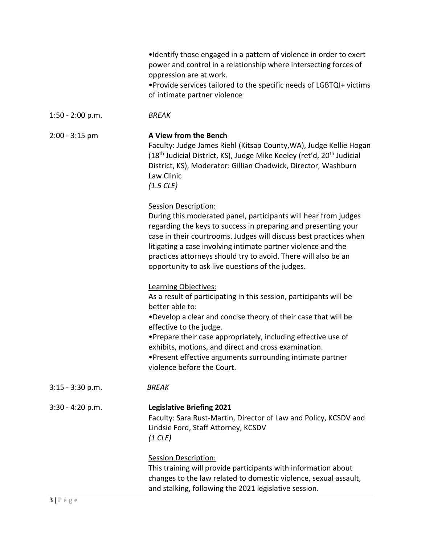|                    | •Identify those engaged in a pattern of violence in order to exert<br>power and control in a relationship where intersecting forces of<br>oppression are at work.<br>. Provide services tailored to the specific needs of LGBTQI+ victims<br>of intimate partner violence                                                                                                                                                         |
|--------------------|-----------------------------------------------------------------------------------------------------------------------------------------------------------------------------------------------------------------------------------------------------------------------------------------------------------------------------------------------------------------------------------------------------------------------------------|
| $1:50 - 2:00 p.m.$ | <b>BREAK</b>                                                                                                                                                                                                                                                                                                                                                                                                                      |
| $2:00 - 3:15$ pm   | A View from the Bench<br>Faculty: Judge James Riehl (Kitsap County, WA), Judge Kellie Hogan<br>(18 <sup>th</sup> Judicial District, KS), Judge Mike Keeley (ret'd, 20 <sup>th</sup> Judicial<br>District, KS), Moderator: Gillian Chadwick, Director, Washburn<br>Law Clinic<br>$(1.5$ CLE)                                                                                                                                       |
|                    | <b>Session Description:</b><br>During this moderated panel, participants will hear from judges<br>regarding the keys to success in preparing and presenting your<br>case in their courtrooms. Judges will discuss best practices when<br>litigating a case involving intimate partner violence and the<br>practices attorneys should try to avoid. There will also be an<br>opportunity to ask live questions of the judges.      |
|                    | Learning Objectives:<br>As a result of participating in this session, participants will be<br>better able to:<br>. Develop a clear and concise theory of their case that will be<br>effective to the judge.<br>• Prepare their case appropriately, including effective use of<br>exhibits, motions, and direct and cross examination.<br>• Present effective arguments surrounding intimate partner<br>violence before the Court. |
| $3:15 - 3:30$ p.m. | <b>BREAK</b>                                                                                                                                                                                                                                                                                                                                                                                                                      |
| $3:30 - 4:20 p.m.$ | <b>Legislative Briefing 2021</b><br>Faculty: Sara Rust-Martin, Director of Law and Policy, KCSDV and<br>Lindsie Ford, Staff Attorney, KCSDV<br>$(1$ CLE)                                                                                                                                                                                                                                                                          |
|                    | <b>Session Description:</b><br>This training will provide participants with information about<br>changes to the law related to domestic violence, sexual assault,<br>and stalking, following the 2021 legislative session.                                                                                                                                                                                                        |